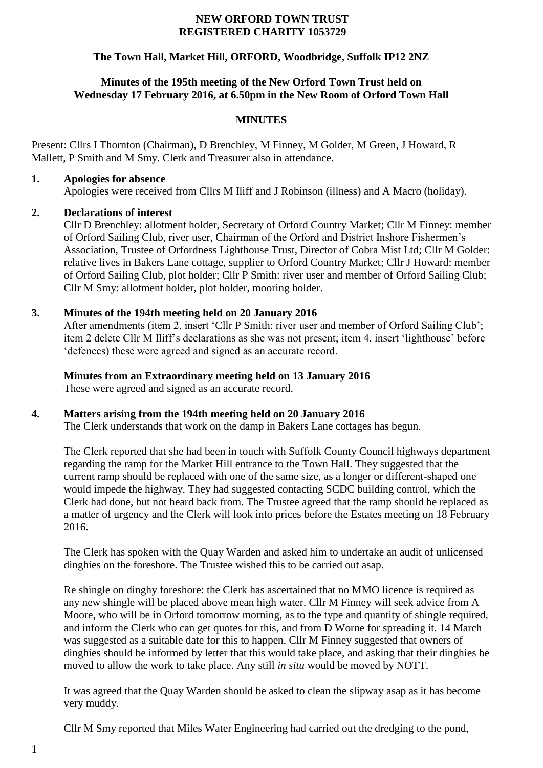#### **NEW ORFORD TOWN TRUST REGISTERED CHARITY 1053729**

# **The Town Hall, Market Hill, ORFORD, Woodbridge, Suffolk IP12 2NZ**

### **Minutes of the 195th meeting of the New Orford Town Trust held on Wednesday 17 February 2016, at 6.50pm in the New Room of Orford Town Hall**

#### **MINUTES**

Present: Cllrs I Thornton (Chairman), D Brenchley, M Finney, M Golder, M Green, J Howard, R Mallett, P Smith and M Smy. Clerk and Treasurer also in attendance.

#### **1. Apologies for absence**

Apologies were received from Cllrs M Iliff and J Robinson (illness) and A Macro (holiday).

### **2. Declarations of interest**

Cllr D Brenchley: allotment holder, Secretary of Orford Country Market; Cllr M Finney: member of Orford Sailing Club, river user, Chairman of the Orford and District Inshore Fishermen's Association, Trustee of Orfordness Lighthouse Trust, Director of Cobra Mist Ltd; Cllr M Golder: relative lives in Bakers Lane cottage, supplier to Orford Country Market; Cllr J Howard: member of Orford Sailing Club, plot holder; Cllr P Smith: river user and member of Orford Sailing Club; Cllr M Smy: allotment holder, plot holder, mooring holder.

# **3. Minutes of the 194th meeting held on 20 January 2016**

After amendments (item 2, insert 'Cllr P Smith: river user and member of Orford Sailing Club'; item 2 delete Cllr M Iliff's declarations as she was not present; item 4, insert 'lighthouse' before 'defences) these were agreed and signed as an accurate record.

### **Minutes from an Extraordinary meeting held on 13 January 2016**

These were agreed and signed as an accurate record.

# **4. Matters arising from the 194th meeting held on 20 January 2016**

The Clerk understands that work on the damp in Bakers Lane cottages has begun.

The Clerk reported that she had been in touch with Suffolk County Council highways department regarding the ramp for the Market Hill entrance to the Town Hall. They suggested that the current ramp should be replaced with one of the same size, as a longer or different-shaped one would impede the highway. They had suggested contacting SCDC building control, which the Clerk had done, but not heard back from. The Trustee agreed that the ramp should be replaced as a matter of urgency and the Clerk will look into prices before the Estates meeting on 18 February 2016.

The Clerk has spoken with the Quay Warden and asked him to undertake an audit of unlicensed dinghies on the foreshore. The Trustee wished this to be carried out asap.

Re shingle on dinghy foreshore: the Clerk has ascertained that no MMO licence is required as any new shingle will be placed above mean high water. Cllr M Finney will seek advice from A Moore, who will be in Orford tomorrow morning, as to the type and quantity of shingle required, and inform the Clerk who can get quotes for this, and from D Worne for spreading it. 14 March was suggested as a suitable date for this to happen. Cllr M Finney suggested that owners of dinghies should be informed by letter that this would take place, and asking that their dinghies be moved to allow the work to take place. Any still *in situ* would be moved by NOTT.

It was agreed that the Quay Warden should be asked to clean the slipway asap as it has become very muddy.

Cllr M Smy reported that Miles Water Engineering had carried out the dredging to the pond,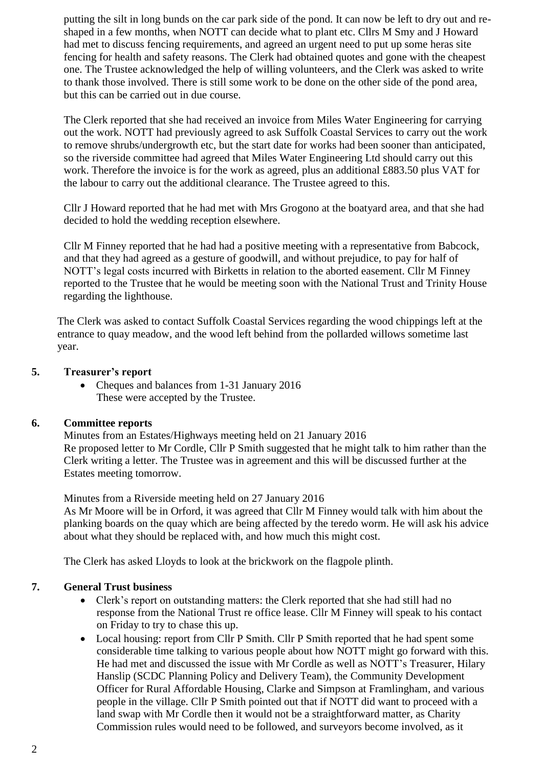putting the silt in long bunds on the car park side of the pond. It can now be left to dry out and reshaped in a few months, when NOTT can decide what to plant etc. Cllrs M Smy and J Howard had met to discuss fencing requirements, and agreed an urgent need to put up some heras site fencing for health and safety reasons. The Clerk had obtained quotes and gone with the cheapest one. The Trustee acknowledged the help of willing volunteers, and the Clerk was asked to write to thank those involved. There is still some work to be done on the other side of the pond area, but this can be carried out in due course.

The Clerk reported that she had received an invoice from Miles Water Engineering for carrying out the work. NOTT had previously agreed to ask Suffolk Coastal Services to carry out the work to remove shrubs/undergrowth etc, but the start date for works had been sooner than anticipated, so the riverside committee had agreed that Miles Water Engineering Ltd should carry out this work. Therefore the invoice is for the work as agreed, plus an additional £883.50 plus VAT for the labour to carry out the additional clearance. The Trustee agreed to this.

Cllr J Howard reported that he had met with Mrs Grogono at the boatyard area, and that she had decided to hold the wedding reception elsewhere.

Cllr M Finney reported that he had had a positive meeting with a representative from Babcock, and that they had agreed as a gesture of goodwill, and without prejudice, to pay for half of NOTT's legal costs incurred with Birketts in relation to the aborted easement. Cllr M Finney reported to the Trustee that he would be meeting soon with the National Trust and Trinity House regarding the lighthouse.

The Clerk was asked to contact Suffolk Coastal Services regarding the wood chippings left at the entrance to quay meadow, and the wood left behind from the pollarded willows sometime last year.

### **5. Treasurer's report**

• Cheques and balances from 1-31 January 2016 These were accepted by the Trustee.

# **6. Committee reports**

Minutes from an Estates/Highways meeting held on 21 January 2016 Re proposed letter to Mr Cordle, Cllr P Smith suggested that he might talk to him rather than the Clerk writing a letter. The Trustee was in agreement and this will be discussed further at the Estates meeting tomorrow.

Minutes from a Riverside meeting held on 27 January 2016

As Mr Moore will be in Orford, it was agreed that Cllr M Finney would talk with him about the planking boards on the quay which are being affected by the teredo worm. He will ask his advice about what they should be replaced with, and how much this might cost.

The Clerk has asked Lloyds to look at the brickwork on the flagpole plinth.

# **7. General Trust business**

- Clerk's report on outstanding matters: the Clerk reported that she had still had no response from the National Trust re office lease. Cllr M Finney will speak to his contact on Friday to try to chase this up.
- Local housing: report from Cllr P Smith. Cllr P Smith reported that he had spent some considerable time talking to various people about how NOTT might go forward with this. He had met and discussed the issue with Mr Cordle as well as NOTT's Treasurer, Hilary Hanslip (SCDC Planning Policy and Delivery Team), the Community Development Officer for Rural Affordable Housing, Clarke and Simpson at Framlingham, and various people in the village. Cllr P Smith pointed out that if NOTT did want to proceed with a land swap with Mr Cordle then it would not be a straightforward matter, as Charity Commission rules would need to be followed, and surveyors become involved, as it